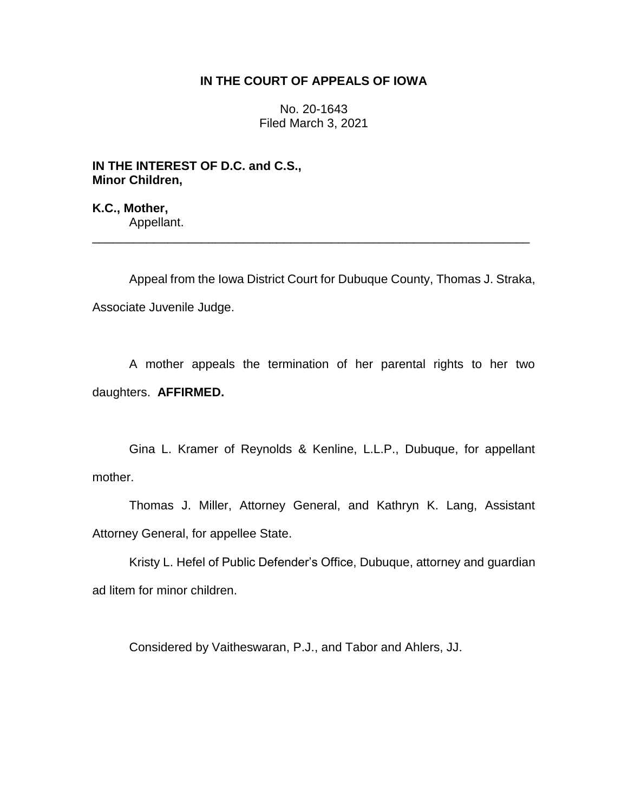## **IN THE COURT OF APPEALS OF IOWA**

No. 20-1643 Filed March 3, 2021

**IN THE INTEREST OF D.C. and C.S., Minor Children,**

**K.C., Mother,** Appellant.

Appeal from the Iowa District Court for Dubuque County, Thomas J. Straka, Associate Juvenile Judge.

\_\_\_\_\_\_\_\_\_\_\_\_\_\_\_\_\_\_\_\_\_\_\_\_\_\_\_\_\_\_\_\_\_\_\_\_\_\_\_\_\_\_\_\_\_\_\_\_\_\_\_\_\_\_\_\_\_\_\_\_\_\_\_\_

A mother appeals the termination of her parental rights to her two daughters. **AFFIRMED.**

Gina L. Kramer of Reynolds & Kenline, L.L.P., Dubuque, for appellant mother.

Thomas J. Miller, Attorney General, and Kathryn K. Lang, Assistant Attorney General, for appellee State.

Kristy L. Hefel of Public Defender's Office, Dubuque, attorney and guardian ad litem for minor children.

Considered by Vaitheswaran, P.J., and Tabor and Ahlers, JJ.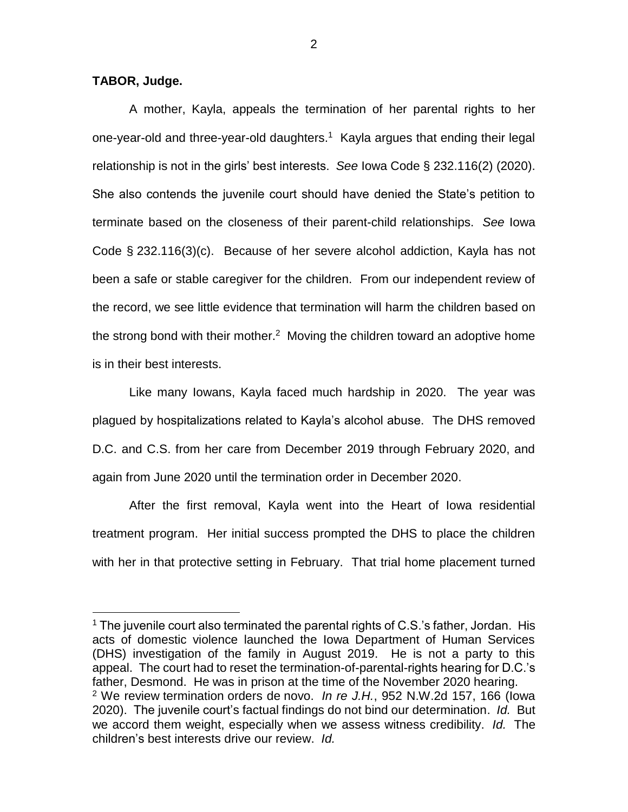## **TABOR, Judge.**

 $\overline{a}$ 

A mother, Kayla, appeals the termination of her parental rights to her one-year-old and three-year-old daughters.<sup>1</sup> Kayla argues that ending their legal relationship is not in the girls' best interests. *See* Iowa Code § 232.116(2) (2020). She also contends the juvenile court should have denied the State's petition to terminate based on the closeness of their parent-child relationships. *See* Iowa Code § 232.116(3)(c). Because of her severe alcohol addiction, Kayla has not been a safe or stable caregiver for the children. From our independent review of the record, we see little evidence that termination will harm the children based on the strong bond with their mother.<sup>2</sup> Moving the children toward an adoptive home is in their best interests.

Like many Iowans, Kayla faced much hardship in 2020. The year was plagued by hospitalizations related to Kayla's alcohol abuse. The DHS removed D.C. and C.S. from her care from December 2019 through February 2020, and again from June 2020 until the termination order in December 2020.

After the first removal, Kayla went into the Heart of Iowa residential treatment program. Her initial success prompted the DHS to place the children with her in that protective setting in February. That trial home placement turned

 $1$  The juvenile court also terminated the parental rights of C.S.'s father, Jordan. His acts of domestic violence launched the Iowa Department of Human Services (DHS) investigation of the family in August 2019. He is not a party to this appeal. The court had to reset the termination-of-parental-rights hearing for D.C.'s father, Desmond. He was in prison at the time of the November 2020 hearing. <sup>2</sup> We review termination orders de novo. *In re J.H.*, 952 N.W.2d 157, 166 (Iowa 2020). The juvenile court's factual findings do not bind our determination. *Id.* But we accord them weight, especially when we assess witness credibility. *Id.* The children's best interests drive our review. *Id.*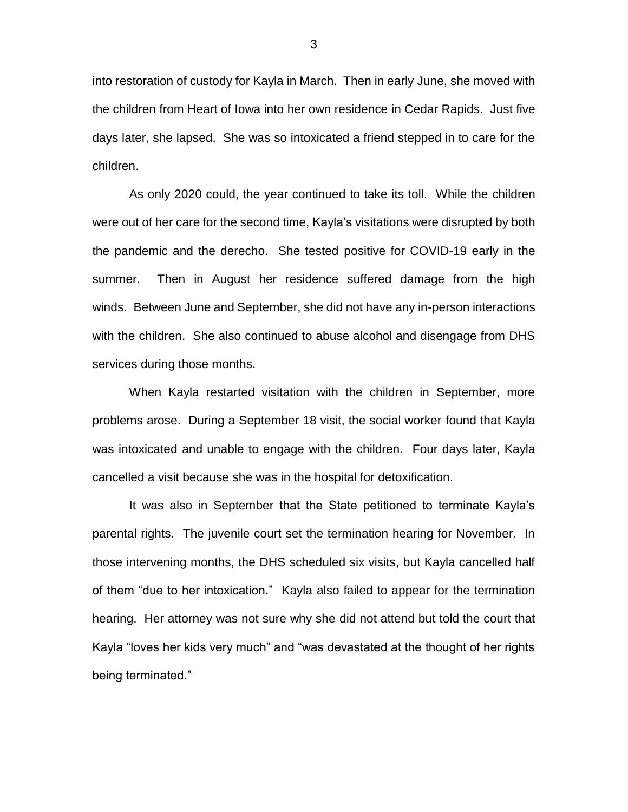into restoration of custody for Kayla in March. Then in early June, she moved with the children from Heart of Iowa into her own residence in Cedar Rapids. Just five days later, she lapsed. She was so intoxicated a friend stepped in to care for the children.

As only 2020 could, the year continued to take its toll. While the children were out of her care for the second time, Kayla's visitations were disrupted by both the pandemic and the derecho. She tested positive for COVID-19 early in the summer. Then in August her residence suffered damage from the high winds. Between June and September, she did not have any in-person interactions with the children. She also continued to abuse alcohol and disengage from DHS services during those months.

When Kayla restarted visitation with the children in September, more problems arose. During a September 18 visit, the social worker found that Kayla was intoxicated and unable to engage with the children. Four days later, Kayla cancelled a visit because she was in the hospital for detoxification.

It was also in September that the State petitioned to terminate Kayla's parental rights. The juvenile court set the termination hearing for November. In those intervening months, the DHS scheduled six visits, but Kayla cancelled half of them "due to her intoxication." Kayla also failed to appear for the termination hearing. Her attorney was not sure why she did not attend but told the court that Kayla "loves her kids very much" and "was devastated at the thought of her rights being terminated."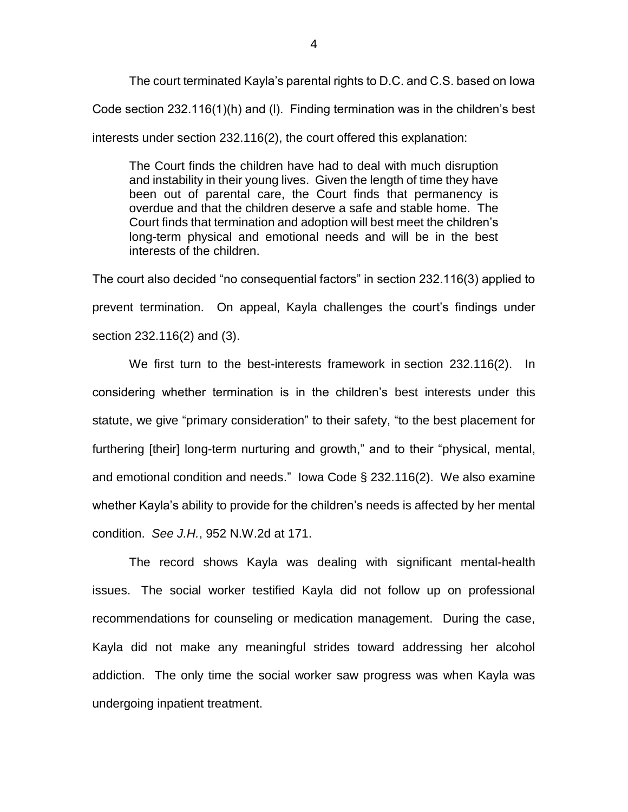The court terminated Kayla's parental rights to D.C. and C.S. based on Iowa Code section 232.116(1)(h) and (l). Finding termination was in the children's best interests under section 232.116(2), the court offered this explanation:

The Court finds the children have had to deal with much disruption and instability in their young lives. Given the length of time they have been out of parental care, the Court finds that permanency is overdue and that the children deserve a safe and stable home. The Court finds that termination and adoption will best meet the children's long-term physical and emotional needs and will be in the best interests of the children.

The court also decided "no consequential factors" in section 232.116(3) applied to prevent termination. On appeal, Kayla challenges the court's findings under section 232.116(2) and (3).

We first turn to the best-interests framework in section 232.116(2). In considering whether termination is in the children's best interests under this statute, we give "primary consideration" to their safety, "to the best placement for furthering [their] long-term nurturing and growth," and to their "physical, mental, and emotional condition and needs." Iowa Code § 232.116(2). We also examine whether Kayla's ability to provide for the children's needs is affected by her mental condition. *See J.H.*, 952 N.W.2d at 171.

The record shows Kayla was dealing with significant mental-health issues. The social worker testified Kayla did not follow up on professional recommendations for counseling or medication management. During the case, Kayla did not make any meaningful strides toward addressing her alcohol addiction. The only time the social worker saw progress was when Kayla was undergoing inpatient treatment.